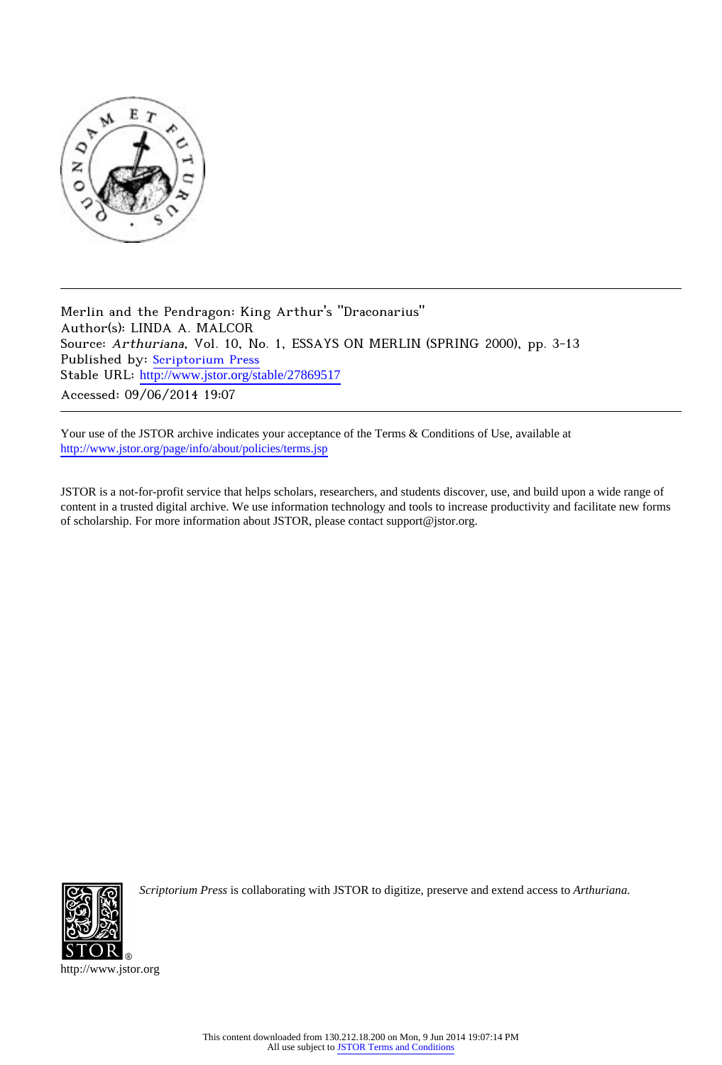

Merlin and the Pendragon: King Arthur's "Draconarius" Author(s): LINDA A. MALCOR Source: Arthuriana, Vol. 10, No. 1, ESSAYS ON MERLIN (SPRING 2000), pp. 3-13 Published by: [Scriptorium Press](http://www.jstor.org/action/showPublisher?publisherCode=scriptorium) Stable URL: http://www.jstor.org/stable/27869517 Accessed: 09/06/2014 19:07

Your use of the JSTOR archive indicates your acceptance of the Terms & Conditions of Use, available at <http://www.jstor.org/page/info/about/policies/terms.jsp>

JSTOR is a not-for-profit service that helps scholars, researchers, and students discover, use, and build upon a wide range of content in a trusted digital archive. We use information technology and tools to increase productivity and facilitate new forms of scholarship. For more information about JSTOR, please contact support@jstor.org.



*Scriptorium Press* is collaborating with JSTOR to digitize, preserve and extend access to *Arthuriana.*

http://www.jstor.org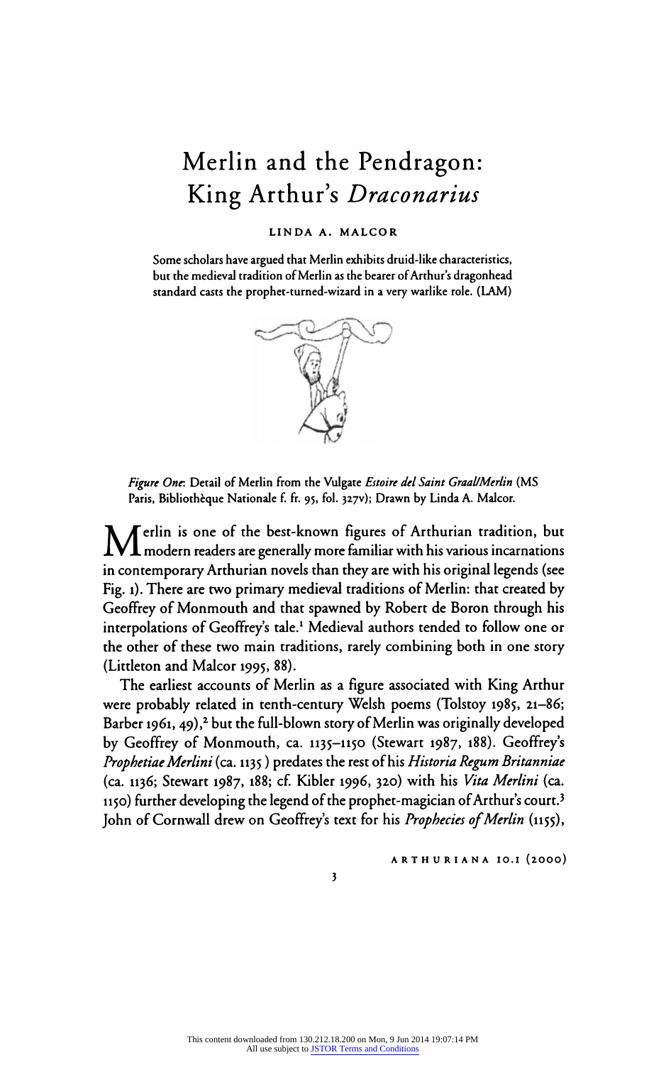# Merlin and the Pendragon: King Arthur's Draconarius

## LINDA A. MALCOR

Some scholars have argued that Merlin exhibits druid-like characteristics, but the medieval tradition of Merlin as the bearer of Arthurs dragonhead standard casts the prophet-turned-wizard in a very warlike role. (LAM)



Figure One. Detail of Merlin from the Vulgate Estoire del Saint Graal/Merlin (MS Paris, Bibliothèque Nationale f. fr. 95, fol. 327v); Drawn by Linda A. Malcor.

Merlin **M** erlin is one of the best-known figures of Arthurian tradition, but  $\boldsymbol{1}$  modern readers are generally more familiar with his various incarnations in contemporary Arthurian novels than they are with his original legends (see Fig. 1). There are two primary medieval traditions of Merlin: that created by Geoffrey of Monmouth and that spawned by Robert de Boron through his interpolations of Geoffrey's tale.<sup>1</sup> Medieval authors tended to follow one or the other of these two main traditions, rarely combining both in one story (Littleton and Malcor 1995, 88).

The earliest accounts of Merlin as a figure associated with King Arthur were probably related in tenth-century Welsh poems (Tolstoy 1985, 21-86; Barber 1961, 49),<sup>2</sup> but the full-blown story of Merlin was originally developed by Geoffrey of Monmouth, ca. 1135-1150 (Stewart 1987, 188). Geoffreys Prophetiae Merlini (ca. 1135) predates the rest of his Historia Regum Britanniae (ca. 1136; Stewart 1987, 188; cf. Kibler 1996, 320) with his Vita Merlini (ca. 1150) further developing the legend of the prophet-magician of Arthur's court.<sup>3</sup> John of Cornwall drew on Geoffrey's text for his Prophecies of Merlin (1155),

ARTHURIANA IO.I (2000)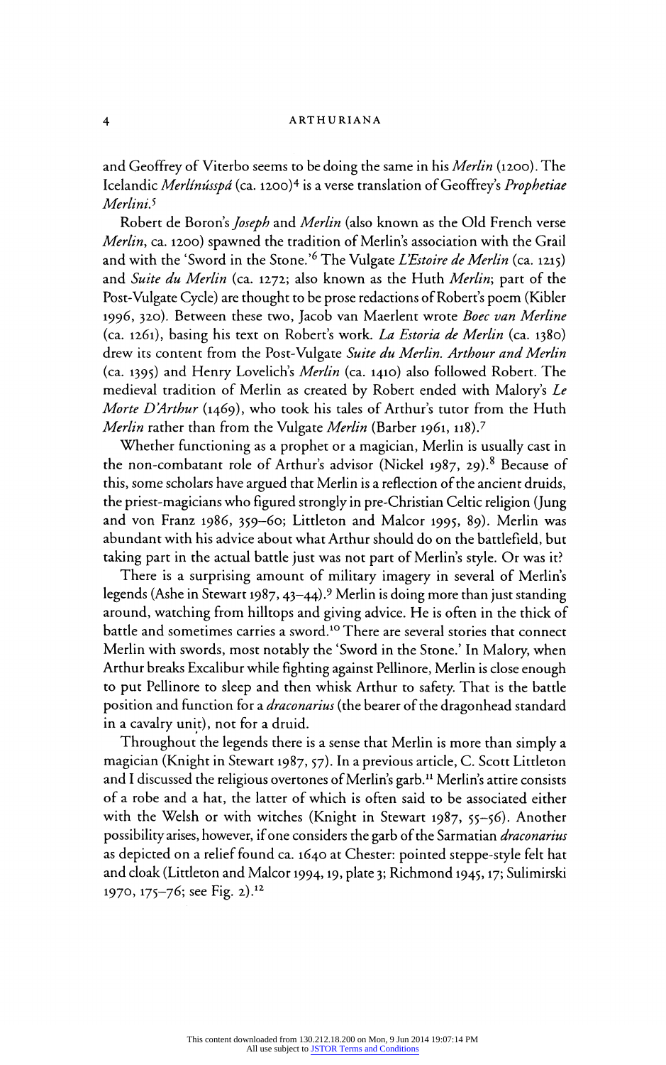and Geoffrey of Viterbo seems to be doing the same in his Merlin (1200). The Icelandic Merlínússpá (ca. 1200)<sup>4</sup> is a verse translation of Geoffrey's Prophetiae Merlini.<sup>5</sup>

Robert de Boron's *Joseph* and *Merlin* (also known as the Old French verse<br>*Merlin*, ca. 1200) spawned the tradition of Merlin's association with the Grail *Merlin*, ca. 1200) spawned the tradition of Merlin's association with the Grail and with the 'Sword in the Stone.' The Vulgate Lestoire de Merlin (ca. 1215) and Suite du Merlin (ca. 1272; also known as the Huth Merlin; part of the Post-Vulgate Cycle) are thought to be prose redactions of Robert's poem (Kibler 1996, 320). Between these two, Jacob van Maerlent wrote Boec van Merline (ca. 1261), basing his text on Robert's work. La Estoria de Merlin (ca. 1380) drew its content from the Post-Vulgate Suite du Merlin. Arthour and Merlin (ca. 1395) and Henry Lovelich's Merlin (ca. 1410) also followed Robert. The medieval tradition of Merlin as created by Robert ended with Malory's Le Morte D'Arthur (1469), who took his tales of Arthur's tutor from the Huth Merlin rather than from the Vulgate Merlin (Barber 1961, 118).<sup>7</sup>

Whether functioning as a prophet or a magician, Merlin is usually cast in<br>the non-combatant role of Arthur's advisor (Nickel 1987, 29).<sup>8</sup> Because of the non-combatant role of Arthur's advisor (Nickel 1987, 29).<sup>8</sup> Because of this, some scholars have argued that Merlin is a reflection of the ancient druids the priest-magicians who figured strongly in pre-Christian Celtic religion (Jung and von Franz 1986, 359-60; Littleton and Malcor 1995, 89). Merlin was abundant with his advice about what Arthur should do on the battlefield, but taking part in the actual battle just was not part of Merlin's style. Or was it?

There is a surprising amount of military imagery in several of Merlin's legends (Ashe in Stewart 1987, 43-44).9 Merlin is doing more than just standing around, watching from hilltops and giving advice. He is often in the thick of battle and sometimes carries a sword.<sup>10</sup> There are several stories that connect Merlin with swords, most notably the 'Sword in the Stone.' In Malory, when Arthur breaks Excalibur while fighting against Pellinore, Merlin is close enough to put Pellinore to sleep and then whisk Arthur to safety. That is the battle position and function for a *draconarius* (the bearer of the dragonhead standard in a cavalry unit), not for a druid.

Throughout the legends there is a sense that Merlin is more than simply a magician (Knight in Stewart 1987, 57). In a previous article, C. Scott Littleton and I discussed the religious overtones of Merlin's garb.11 Merlin's attire consists of a robe and a hat, the latter of which is often said to be associated either with the Welsh or with witches (Knight in Stewart 1987, 55-56). Another possibility arises, however, if one considers the garb of the Sarmatian *draconarius* as depicted on a relief found ca. 1640 at Chester: pointed steppe-style felt hat and cloak (Littleton and Malcor 1994,19, plate 3; Richmond 1945,17; Sulimirski 1970, 175-76; see Fig. 2).12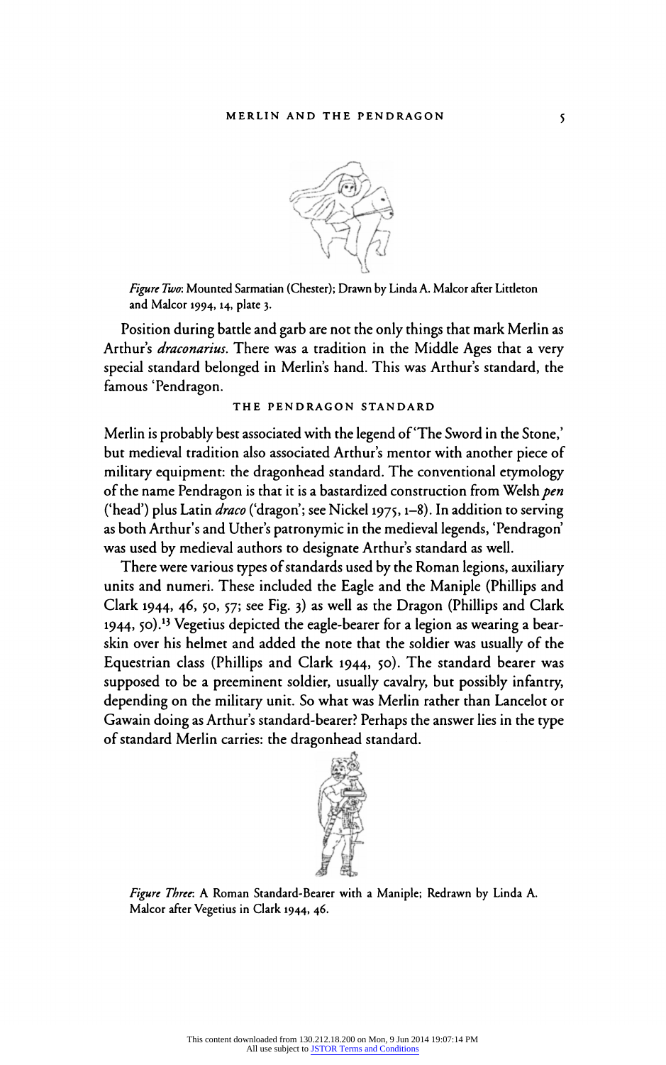

Figure Two: Mounted Sarmatian (Chester); Drawn by Linda A. Malcor after Littleton and Malcor 1994,14, plate 3.

Position during battle and garb are not the only things that mark Merlin as Arthur's *draconarius*. There was a tradition in the Middle Ages that a very special standard belonged in Merlin's hand. This was Arthur's standard, the famous 'Pendragon.

## THE PENDRAGON STANDARD

Merlin is probably best associated with the legend of 'The Sword in the Stone,' but medieval tradition also associated Arthur's mentor with another piece of military equipment: the dragonhead standard. The conventional etymology of the name Pendragon is that it is a bastardized construction from Welsh pen ('head') plus Latin *draco* ('dragon'; see Nickel 1975, 1–8). In addition to serving as both Arthur's and Uther's patronymic in the medieval legends, 'Pendragon' was used by medieval authors to designate Arthur's standard as well.

There were various types of standards used by the Roman legions, auxiliary units and numeri. These included the Eagle and the Maniple (Phillips and Clark 1944, 46, 50, 57; see Fig. 3) as well as the Dragon (Phillips and Clark 1944, 50).<sup>13</sup> Vegetius depicted the eagle-bearer for a legion as wearing a bearskin over his helmet and added the note that the soldier was usually of the Equestrian class (Phillips and Clark 1944, 50). The standard bearer was supposed to be a preeminent soldier, usually cavalry, but possibly infantry, depending on the military unit. So what was Merlin rather than Lancelot or Gawain doing as Arthur's standard-bearer? Perhaps the answer lies in the type of standard Merlin carries: the dragonhead standard.



Figure Three: A Roman Standard-Bearer with a Maniple; Redrawn by Linda A. Malcor after Vegetius in Clark 1944, 46.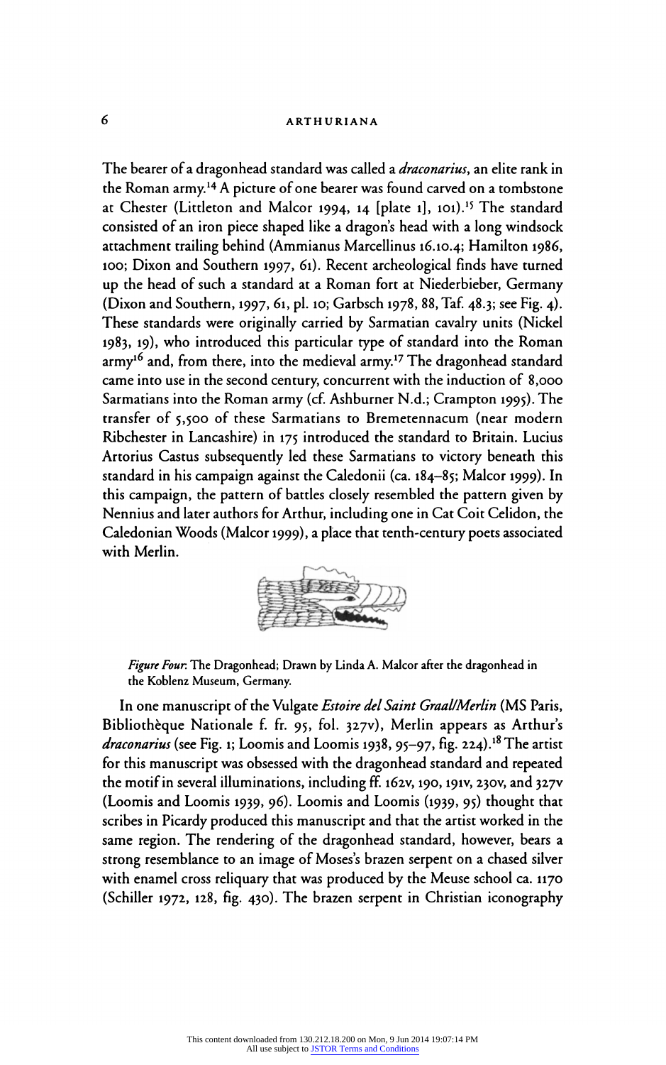The bearer of a dragonhead standard was called a *draconarius*, an elite rank in the Roman army.14 A picture of one bearer was found carved on a tombstone at Chester (Littleton and Malcor 1994, 14 [plate 1], 101).<sup>15</sup> The standard consisted of an iron piece shaped like a dragon's head with a long windsock attachment trailing behind (Ammianus Marcellinus 16.10.4; Hamilton 1986, 100; Dixon and Southern 1997, 61). Recent archeological finds have turned up the head of such a standard at a Roman fort at Niederbieber, Germany (Dixon and Southern, 1997, 61, pi. 10; Garbsch 1978, 88, Taf. 48.3; see Fig. 4). These standards were originally carried by Sarmatian cavalry units (Nickel 1983, 19), who introduced this particular type of standard into the Roman army<sup>16</sup> and, from there, into the medieval army.<sup>17</sup> The dragonhead standard came into use in the second century, concurrent with the induction of 8,000 Sarmatians into the Roman army (cf. Ashburner N.d.; Crampton 1995). The transfer of 5,500 of these Sarmatians to Bremetennacum (near modern Ribchester in Lancashire) in 175 introduced the standard to Britain. Lucius Artorius Castus subsequently led these Sarmatians to victory beneath this standard in his campaign against the Caledonii (ca. 184-85; Malcor 1999). In this campaign, the pattern of battles closely resembled the pattern given by Nennius and later authors for Arthur, including one in Cat Coit Celidon, the Caledonian Woods (Malcor 1999), a place that tenth-century poets associated with Merlin.



Figure Four. The Dragonhead; Drawn by Linda A. Malcor after the dragonhead in the Koblenz Museum, Germany.

In one manuscript of the Vulgate *Estoire del Saint Graal/Merlin* (MS Paris, Bibliothèque Nationale f. fr. 95, fol. 327v), Merlin appears as Arthur's draconarius (see Fig. 1; Loomis and Loomis 1938, 95–97, fig. 224).<sup>18</sup> The artist for this manuscript was obsessed with the dragonhead standard and repeated the motif in several illuminations, including ff. 162V, 190,191V, 230V, and 327V (Loomis and Loomis 1939, 96). Loomis and Loomis (1939, 95) thought that scribes in Picardy produced this manuscript and that the artist worked in the same region. The rendering of the dragonhead standard, however, bears a strong resemblance to an image of Moses's brazen serpent on a chased silver with enamel cross reliquary that was produced by the Meuse school ca. 1170 (Schiller 1972, 128, fig. 430). The brazen serpent in Christian iconography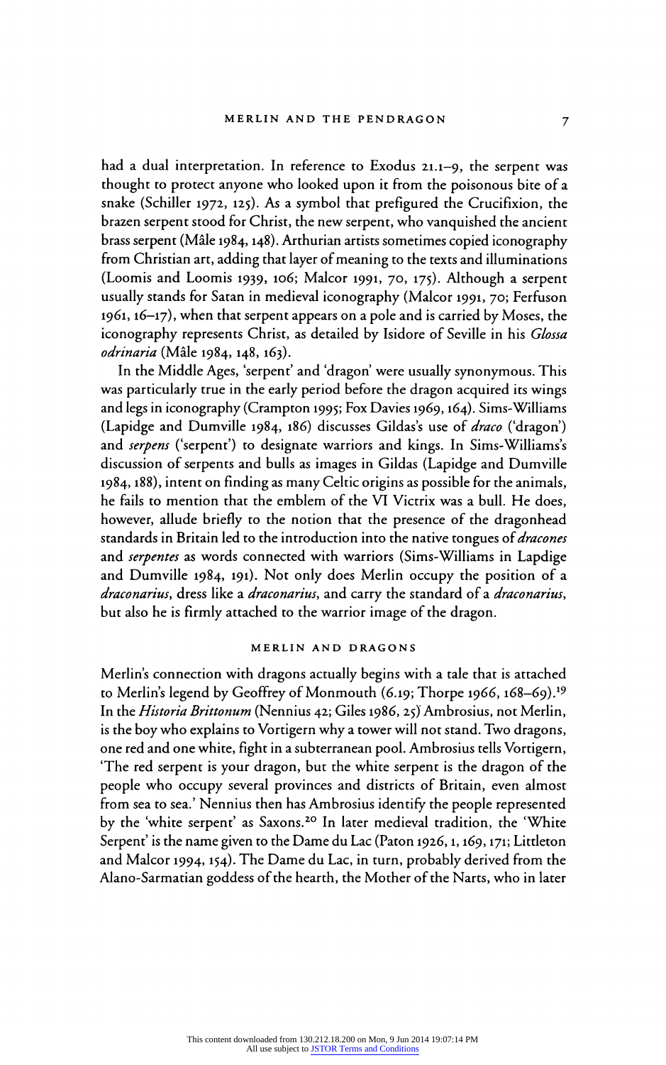had a dual interpretation. In reference to Exodus 21.1-9, the serpent was thought to protect anyone who looked upon it from the poisonous bite of a snake (Schiller 1972, 125). As a symbol that prefigured the Crucifixion, the brazen serpent stood for Christ, the new serpent, who vanquished the ancient<br>brass serpent (Mâle 1984, 148). Arthurian artists sometimes copied iconography from Christian art, adding that layer of meaning to the texts and illuminations from Christian art, adding that layer of meaning to the texts and illumination (Loomis and Loomis 1939, 106; Malcor 1991, 70, 175). Although a serpent usually stands for Satan in medieval iconography (Malcor 1991, 70; Ferfuson 1961,16-17), when that serpent appears on a pole and is carried by Moses, the iconography represents Christ, as detailed by Isidore of Seville in his Glossa odrinaria (Mâle 1984, 148, 163).

In the Middle Ages, 'serpent' and 'dragon' were usually synonymous. This was particularly true in the early period before the dragon acquired its wings and legs in iconography (Crampton 1995; Fox Davies 1969,164). Sims-Williams (Lapidge and Dumville 1984, 186) discusses Gildas's use of draco ('dragon') and serpens ('serpent') to designate warriors and kings. In Sims-Williams's discussion of serpents and bulls as images in Gildas (Lapidge and Dumville 1984,188), intent on finding as many Celtic origins as possible for the animals, he fails to mention that the emblem of the VI Victrix was a bull. He does, however, allude briefly to the notion that the presence of the dragonhead standards in Britain led to the introduction into the native tongues of *dracones* and serpentes as words connected with warriors (Sims-Williams in Lapdige and Dumville 1984, 191). Not only does Merlin occupy the position of a draconarius, dress like a draconarius, and carry the standard of a draconarius, but also he is firmly attached to the warrior image of the dragon.

## MERLIN AND DRAGONS

Merlin's connection with dragons actually begins with a tale that is attached to Merlin's legend by Geoffrey of Monmouth (6.19; Thorpe 1966, 168-69).<sup>19</sup> In the Historia Brittonum (Nennius 42; Giles 1986, 25) Ambrosius, not Merlin, is the boy who explains to Vortigern why a tower will not stand. Two dragons, one red and one white, fight in a subterranean pool. Ambrosius tells Vortigern, 'The red serpent is your dragon, but the white serpent is the dragon of the people who occupy several provinces and districts of Britain, even almost from sea to sea.' Nennius then has Ambrosius identify the people represented by the 'white serpent' as Saxons.<sup>20</sup> In later medieval tradition, the 'White Serpent' is the name given to the Dame du Lac (Paton 1926, 1, 169, 171; Littleton and Malcor 1994,154). The Dame du Lac, in turn, probably derived from the Alano-Sarmatian goddess of the hearth, the Mother of the Narts, who in later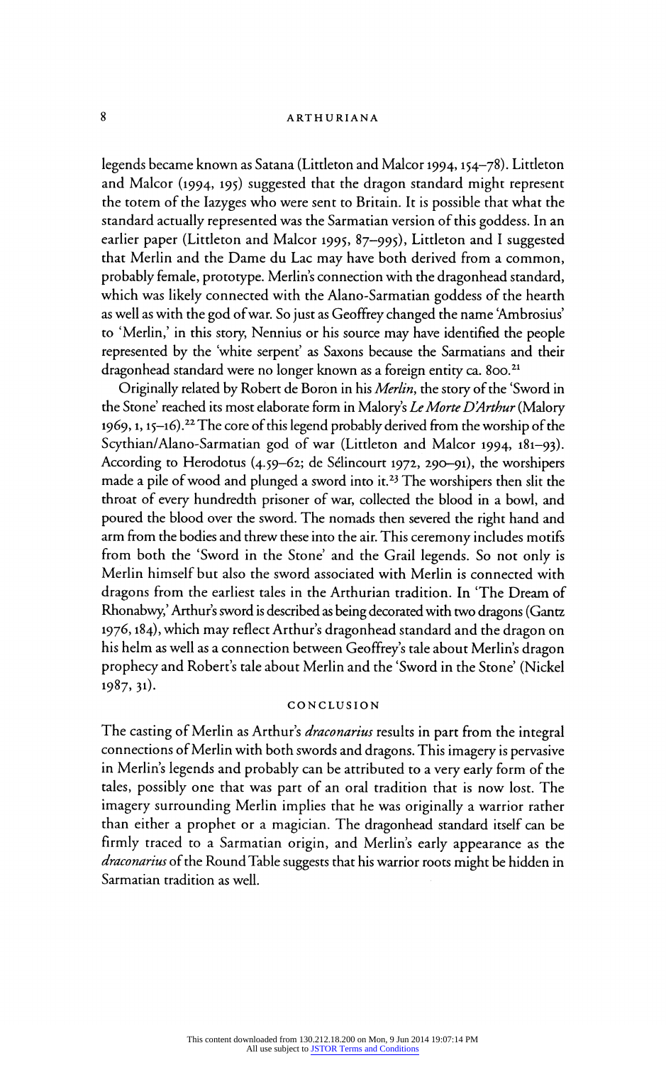legends became known as Satana (Littleton and Malcor 1994,154-78). Littleton and Malcor (1994, 195) suggested that the dragon standard might represent the totem of the Iazyges who were sent to Britain. It is possible that what the standard actually represented was the Sarmatian version of this goddess. In an<br>earlier paper (Littleton and Malcor 1995, 87–995), Littleton and I suggested earlier paper (Littleton and Malcor 1995, 87-995), Littleton and I suggested that Merlin and the Dame du Lac may have both derived from a common, probably female, prototype. Merlins connection with the dragonhead standard, which was likely connected with the Alano-Sarmatian goddess of the hearth as well as with the god of war. So just as Geoffrey changed the name 'Ambrosius' to 'Merlin,' in this story, Nennius or his source may have identified the people represented by the 'white serpent' as Saxons because the Sarmatians and their dragonhead standard were no longer known as a foreign entity ca. 800.<sup>21</sup>

Originally related by Robert de Boron in his Merlin, the story of the 'Sword in the Stone' reached its most elaborate form in Malory's Le Morte D'Arthur (Malory 1969, 1, 15-16).<sup>22</sup> The core of this legend probably derived from the worship of the Scythian/Alano-Sarmatian god of war (Littleton and Malcor 1994, 181-93). According to Herodotus (4.59–62; de Sélincourt 1972, 290–91), the worshipers made a pile of wood and plunged a sword into it.<sup>23</sup> The worshipers then slit the throat of every hundredth prisoner of war, collected the blood in a bowl, and poured the blood over the sword. The nomads then severed the right hand and arm from the bodies and threw these into the air. This ceremony includes motifs from both the 'Sword in the Stone' and the Grail legends. So not only is Merlin himself but also the sword associated with Merlin is connected with dragons from the earliest tales in the Arthurian tradition. In 'The Dream of Rhonabwy,' Arthur's sword is described as being decorated with two dragons (Gantz 1976,184), which may reflect Arthur's dragonhead standard and the dragon on his helm as well as a connection between Geoffrey's tale about Merlin's dragon prophecy and Robert's tale about Merlin and the 'Sword in the Stone' (Nickel 1987, 31).

# CONCLUSION

The casting of Merlin as Arthur's draconarius results in part from the integral connections of Merlin with both swords and dragons. This imagery is pervasive in Merlin's legends and probably can be attributed to a very early form of the tales, possibly one that was part of an oral tradition that is now lost. The imagery surrounding Merlin implies that he was originally a warrior rather than either a prophet or a magician. The dragonhead standard itself can be firmly traced to a Sarmatian origin, and Merlin's early appearance as the draconarius of the Round Table suggests that his warrior roots might be hidden in Sarmatian tradition as well.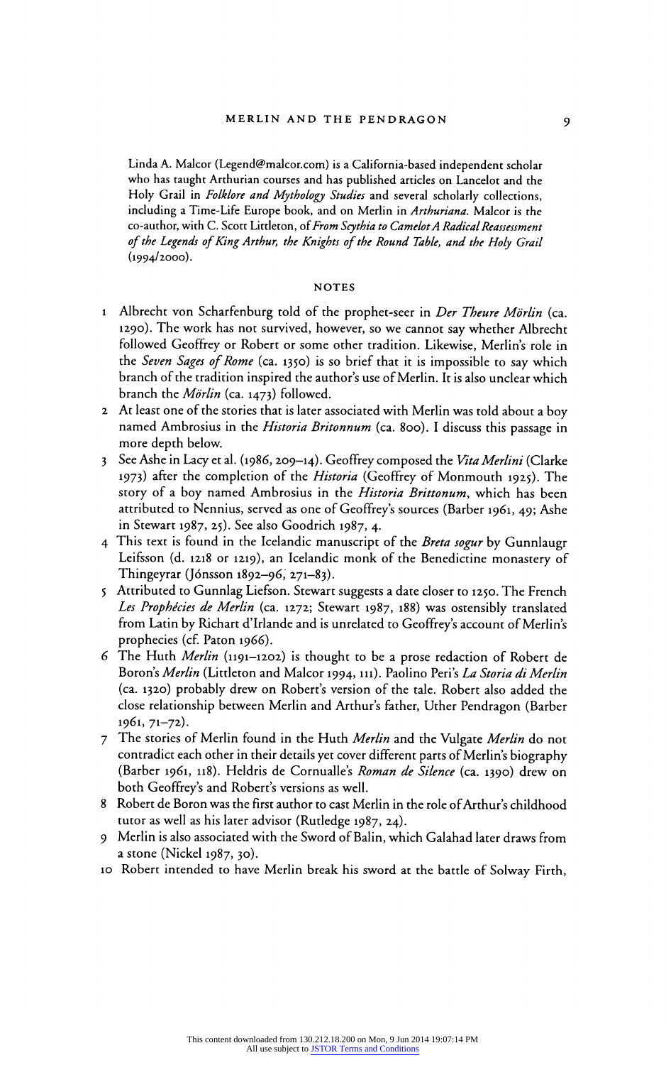Linda A. Malcor (Legend@malcor.com) is a California-based independent scholar who has taught Arthurian courses and has published articles on Lancelot and the<br>Holy Grail in *Folklore and Mythology Studies* and several scholarly collections, Holy Grail in Folklore and Mythology Studies and several scholarly collections, including a Time-Life Europe book, and on Merlin in Arthuriana. Malcor is the co-author, with C. Scott Littleton, of From Scythia to Camelot A Radical Reassessment of the Legends of King Arthur, the Knights of the Round Table, and the Holy Grail (1994/2000).

## NOTES

- 1 Albrecht von Scharfenburg told of the prophet-seer in Der Theure Mörlin (ca. 1290). The work has not survived, however, so we cannot say whether Albrecht say whether Thore followed Geoffrey or Robert or some other tradition. Likewise, Merlins role in the Seven Sages of Rome (ca. 1350) is so brief that it is impossible to say which branch of the tradition inspired the author's use of Merlin. It is also unclear which branch the Mörlin (ca. 1473) followed.
- 2 At least one of the stories that is later associated with Merlin was rold about a boy named Ambrosius in the Historia Britonnum (ca. 800). I discuss this passage in more depth below.
- 3 See Ashe in Lacy et al. (1986, 209-14). Geoffrey composed the Vita Merlini (Clarke 1973) after the completion of the Historia (Geoffrey of Monmouth 1925). The story of a boy named Ambrosius in the Historia Brittonum, which has been attributed to Nennius, served as one of Geoffrey's sources (Barber 1961, 49; Ashe in Stewart 1987, 25). See also Goodrich 1987, 4.
- 4 This text is found in the Icelandic manuscript of the Breta sogur by Gunnlaugr Leifsson (d. 1218 or 1219), an Icelandic monk of the Benedictine monastery of Thingeyrar (Jónsson 1892–96, 271–83).  $T$  Thingeyrar (Jonsson 1892-90, 271-83).
- 5 Attributed to Gunniag Liefson. Stewart suggests a date closer to 1250. The French Les Prophécies de Merlin (ca. 1272; Stewart 1987, 188) was ostensibly translated from Latin by Richart d'Irlande and is unrelated to Geoffrey's account of Merlin's prophecies (cf. Paton 1966).
- 6 The Huth Merlin (1191-1202) is thought to be a prose redaction of Robert de Boron's Merlin (Littleton and Malcor 1994, 111). Paolino Peri's La Storia di Merlin (ca. 1320) probably drew on Robert's version of the tale. Robert also added the close relationship between Merlin and Arthur's father, Uther Pendragon (Barber 1961, 71–72).
- 7 The stories of Merlin found in the Huth Merlin and the Vulgate Merlin do not contradict each other in their details yet cover different parts of Merlin's biography (Barber 1961, 118). Heldris de Cornualle's Roman de Silence (ca. 1390) drew on both Geoffrey's and Robert's versions as well.
- 8 Robert de Boron was the first author to cast Merlin in the role of Arthur's childhood tutor as well as his later advisor (Rutledge 1987, 24).
- 9 Merlin is also associated with the Sword of Balin, which Galahad later draws from a stone (Nickel 1987, 30).
- 10 Robert intended to have Merlin break his sword at the battle of Solway Firth,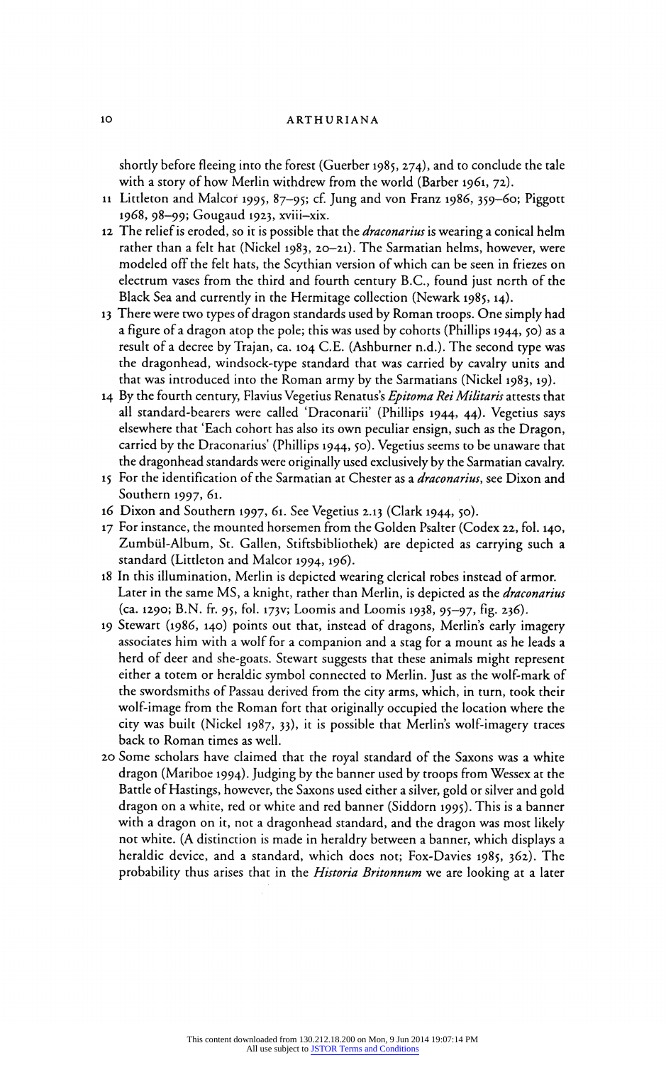shortly before fleeing into the forest (Guerber 1985, 274), and to conclude the tale with a story of how Merlin withdrew from the world (Barber 1961, 72).

- 11 Littleton and Malcor 1995, 87-95; cf. Jung and von Franz 1986, 359-60; Piggott 1968, 98-99; Gougaud 1923, xviii-xix.
- 12 The relief is eroded, so it is possible that the *draconarius* is wearing a conical helm rather than a felt hat (Nickel 1983, 20-21). The Sarmatian helms, however, were modeled off the felt hats, the Scythian version of which can be seen in friezes on electrum vases from the third and fourth century B.C., found just north of the Black Sea and currently in the Hermitage collection (Newark 1985, 14).
- 13 There were two types of dragon standards used by Roman troops. One simply had a figure of a dragon atop the pole; this was used by cohorts (Phillips 1944, 50) as a result of a decree by Trajan, ca. 104 C.E. (Ashburner n.d.). The second type was the dragonhead, windsock-type standard that was carried by cavalry units and that was introduced into the Roman army by the Sarmatians (Nickel 1983,19).
- 14 By the fourth century, Flavius Vegetius Renatus's Epitoma Rei Militaris attests that all standard-bearers were called 'Draconarii' (Phillips 1944, 44). Vegetius says elsewhere that 'Each cohort has also its own peculiar ensign, such as the Dragon, carried by the Draconarius' (Phillips 1944, 50). Vegetius seems to be unaware that the dragonhead standards were originally used exclusively by the Sarmatian cavalry.
- 15 For the identification of the Sarmatian at Chester as a *draconarius*, see Dixon and Southern 1997, 61.
- 16 Dixon and Southern 1997, 61. See Vegetius 2.13 (Clark 1944, 50).
- 17 For instance, the mounted horsemen from the Golden Psalter (Codex 22, fol. 140, Zumbül-Album, St. Gallen, Stiftsbibliothek) are depicted as carrying such a standard (Littleton and Malcor 1994, 196).
- 18 In this illumination, Merlin is depicted wearing clerical robes instead of armor. Later in the same MS, a knight, rather than Merlin, is depicted as the *draconarius* (ca. 1290; B.N. fr. 95, fol. 173V; Loomis and Loomis 1938, 95-97, fig. 236).
- 19 Stewart (1986, 140) points out that, instead of dragons, Merlin's early imagery associates him with a wolf for a companion and a stag for a mount as he leads a herd of deer and she-goats. Stewart suggests that these animals might represent either a totem or heraldic symbol connected to Merlin. Just as the wolf-mark of the swordsmiths of Passau derived from the city arms, which, in turn, took their wolf-image from the Roman fort that originally occupied the location where the city was built (Nickel 1987, 33), it is possible that Merlin's wolf-imagery traces back to Roman times as well.
- 20 Some scholars have claimed that the royal standard of the Saxons was a white dragon (Mariboe 1994). Judging by the banner used by troops from Wessex at the Battle of Hastings, however, the Saxons used either a silver, gold or silver and gold dragon on a white, red or white and red banner (Siddorn 1995). This is a banner with a dragon on it, not a dragonhead standard, and the dragon was most likely not white. (A distinction is made in heraldry between a banner, which displays a heraldic device, and a standard, which does not; Fox-Davies 1985, 362). The probability thus arises that in the *Historia Britonnum* we are looking at a later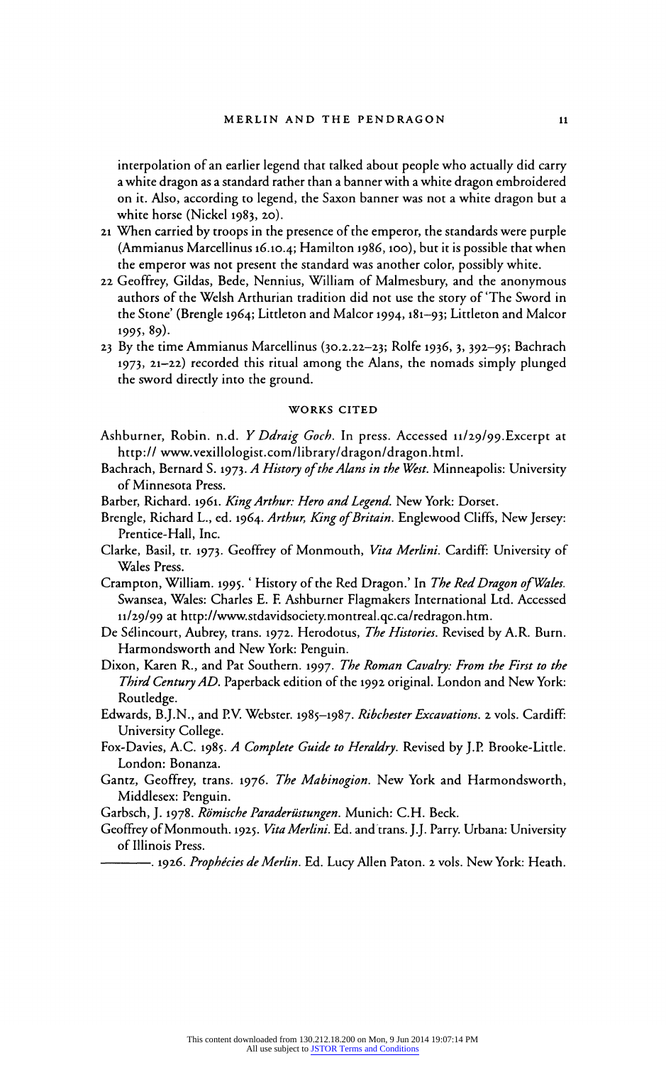interpolation of an earlier legend that talked about people who actually did carry a white dragon as a standard rather than a banner with a white dragon embroidered on it. Also, according to legend, the Saxon banner was not a white dragon but a white horse (Nickel 1983, 20).

- 21 When carried by troops in the presence of the emperor, the standards were purple (Ammianus Marcellinus 16.10.4; Hamilton 1986,100), but it is possible that when the emperor was not present the standard was another color, possibly while.
- 22 Geoffrey, Gildas, Bede, Nennius, William of Malmesbury, and the anonymous authors of the Welsh Arthurian tradition did not use the story of'The Sword in the Stone' (Brengle 1964; Littleton and Malcor 1994,181-93; Littleton and Malcor 1995? 89).
- 23 By the time Ammianus Marcellinus (30.2.22-23; Rolfe 1936, 3, 392-95; Bachrach 1973, 21-22) recorded this ritual among the Alans, the nomads simply plunged the sword directly into the ground.

### WORKS CITED

- Ashburner, Robin. n.d. *Y Ddraig Goch*. In press. Accessed 11/29/99.Excerpt at http:// www.vexillologist.com/library/dragon/dragon.html.
- Bachrach, Bernard S. 1973. A History of the Alans in the West. Minneapolis: University of Minnesota Press.
- Barber, Richard. 1961. King Arthur: Hero and Legend. New York: Dorset.
- Brengle, Richard L., ed. 1964. Arthur, King of Britain. Englewood Cliffs, New Jersey: Prentice-Hall, Inc.
- Clarke, Basil, tr. 1973. Geoffrey of Monmouth, Vita Merlini. Cardiff: University of Wales Press.
- Crampton, William. 1995. 'History of the Red Dragon.' In The Red Dragon of Wales Swansea, Wales: Charles E. E Ashburner Flagmakers International Ltd. Accessed 11/29/99 at http://www.stdavidsociety.montreal.qc.ca/redragon.htm.
- De Sélincourt, Aubrey, trans. 1972. Herodotus, *The Histories*. Revised by A.R. Burn.<br>Harmondsworth and New York: Penguin. Harmondsworth and New York: Penguin.
- Dixon, Karen R., and Pat Southern. 1997. *The Roman Cavalry: From the First to the*<br>The Roman Capacity: From the First to the Table of the Table of the Table of the Table of the Table of the Table Third Century AD. Paperback edition of the 1992 original. London and New York:<br>Routledge.
- Edwards, B.J.N., and P.V. Webster. 1985-1987. Ribchester Excavations. 2 vols. Cardi
- Fox-Davies, A.C. 1985. A Complete Guide to Heraldry. Revised by J.P. Brooke-Little. London: Bonanza.
- Gantz, Geoffrey, trans. 1976. The Mabinogion. New York and Harmondsworth, Middlesex: Penguin.
- Garbsch, J. 1978. Römische Paraderüstungen. Munich: C.H. Beck.
- Geoffrey of Monmouth. 1925. *Vita Merlini*. Ed. and trans. J.J. Parry. Urbana: University of Illinois Press.
	- -. 1926. Prophécies de Merlin. Ed. Lucy Allen Paton. 2 vols. New York: Heath.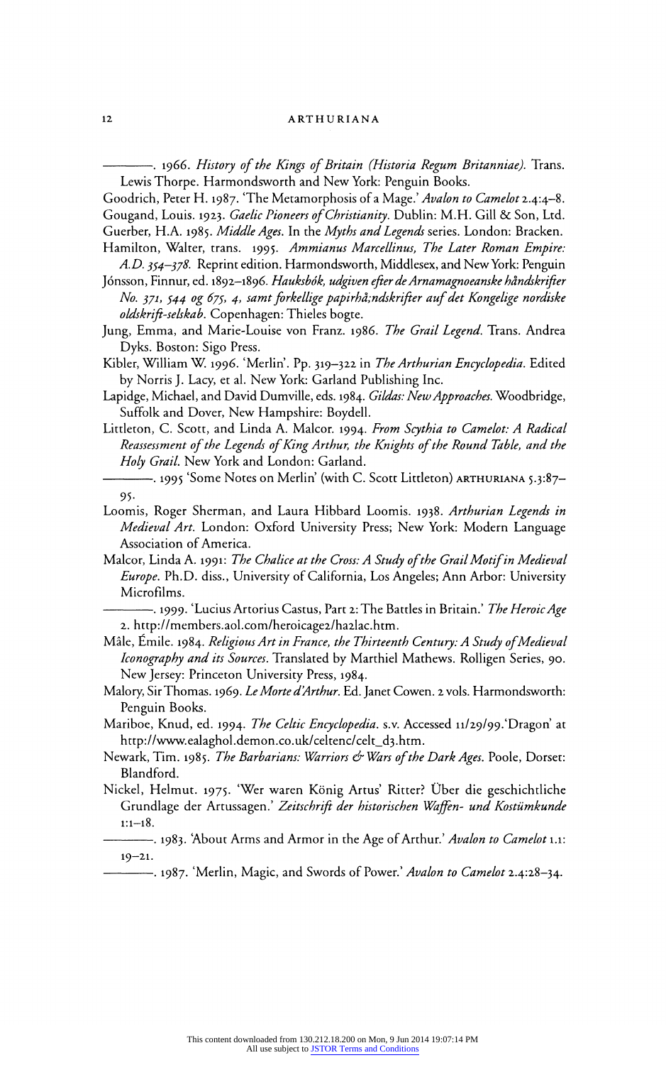------------. 1966. *History of the Kings of Britain (Historia Regum Britanniae)*. Trans.<br>Lewis Thorpe. Harmondsworth and New York: Penguin Books. Lewis Thorpe. Harmondsworth and New York: Penguin Books.

Goodrich, Peter H. 1987. The Metamorphosis of a Mage. Avalon to Camelot 2.4:4-Gougand, Louis. 1923. Gaelic Pioneers of Christianity. Dublin: M.H. Gill & Son, Ltd. Guerber, H.A. 1985. Middle Ages. In the Myths and Legends series. London: Bracken.

Hamilton, Walter, trans. 1995. Ammianus Marcellinus, The Later Roman Empire: A.D. 354-378. Reprint edition. Harmondsworth, Middlesex, and New York: Penguin

- Jónsson, Finnur, ed. 1892-1896. Hauksbók, udgiven efter de Arnamagnoeanske håndskrifter No. 371, 544 og 675, 4, samt forkellige papirhå;ndskrifter auf det Kongelige nordiske oldskrift-selskab. Copenhagen: Thieles bogte.
- Jung, Emma, and Marie-Louise von Franz. 1986. The Grail Legend. Trans. Andrea Dyks. Boston: Sigo Press.
- Kibler, William W. 1996. 'Merlin'. Pp. 319-322 in The Arthurian Encyclopedia. Edited by Norris J. Lacy, et al. New York: Garland Publishing Inc.
- Lapidge, Michael, and David Dumville, eds. 1984. Gildas: New Approaches. Woodbridge, Suffolk and Dover, New Hampshire: Boydell.
- Littleton, C. Scott, and Linda A. Malcor. 1994. From Scythia to Camelot: A Radical Reassessment of the Legends of King Arthur, the Knights of the Round Table, and the Holy Grail. New York and London: Garland.

–. 1995 'Some Notes on Merlin' (with C. Scott Littleton) <code>art</code>н<code>ur</code>iana 5.3:87– 95.

- Loomis, Roger Sherman, and Laura Hibbard Loomis. 1938. Arthurian Legends in Medieval Art. London: Oxford University Press; New York: Modern Language Association of America.
- Malcor, Linda A. 1991: The Chalice at the Cross: A Study of the Grail Motif in Medieval Europe. Ph.D. diss., University of California, Los Angeles; Ann Arbor: University Microfilms.

-. 1999. 'Lucius Artorius Castus, Part 2: The Battles in Britain.' *The Heroic Age* 2. http://members.aol.com/heroicage2/ha2lac.htm.

- Mâle, Emile. 1984. Religious Art in France, the Thirteenth Century: A Study of Medieval Iconography and its Sources. Translated by Marthiel Mathews. Rolligen Series, 90. New Jersey: Princeton University Press, 1984.
- Malory, Sir Thomas. 1969. Le Morte d'Arthur. Ed. Janet Cowen. 2 vols. Harmondsworth: Penguin Books.
- Mariboe, Knud, ed. 1994. The Celtic Encyclopedia. s.v. Accessed 11/29/99. Dragon' at http://www.ealaghol.demon.co.uk/celtenc/celt\_d3.htm.
- Newark, Tim. 1985. The Barbarians: Warriors & Wars of the Dark Ages. Poole, Dorset Blandford.
- Nickel, Helmut. 1975. 'Wer waren König Artus' Ritter? Über die geschichtliche Grundlage der Artussagen.' Zeitschrift der historischen Waffen- und Kostümkunde  $1:1-18.$

-. 1983. 'About Arms and Armor in the Age of Arthur.' Avalon to Camelot 1.1:  $19 - 21.$ 

---- 1987. 'Merlin, Magic, and Swords of Power.' Avalon to Camelot 2.4:28-34.